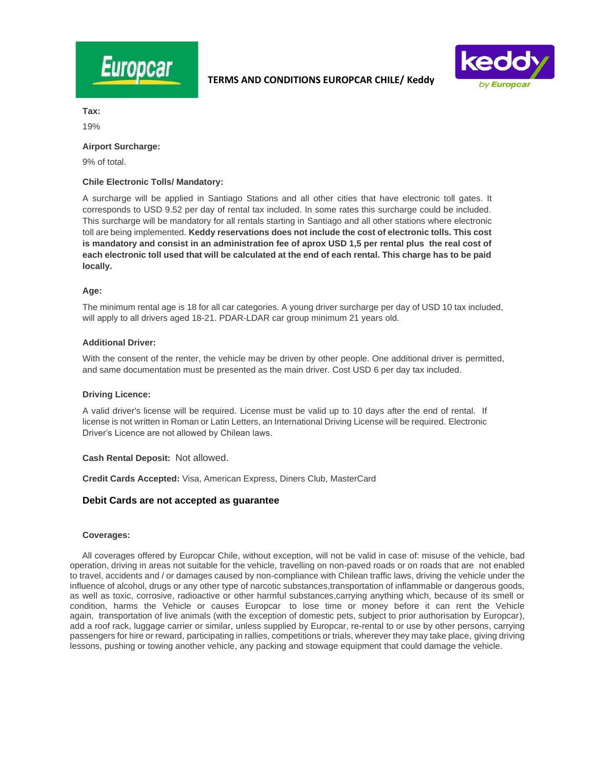



**Tax:**

19%

### **Airport Surcharge:**

9% of total.

## **Chile Electronic Tolls/ Mandatory:**

A surcharge will be applied in Santiago Stations and all other cities that have electronic toll gates. It corresponds to USD 9.52 per day of rental tax included. In some rates this surcharge could be included. This surcharge will be mandatory for all rentals starting in Santiago and all other stations where electronic toll are being implemented. **Keddy reservations does not include the cost of electronic tolls. This cost is mandatory and consist in an administration fee of aprox USD 1,5 per rental plus the real cost of each electronic toll used that will be calculated at the end of each rental. This charge has to be paid locally.** 

### **Age:**

The minimum rental age is 18 for all car categories. A young driver surcharge per day of USD 10 tax included, will apply to all drivers aged 18-21. PDAR-LDAR car group minimum 21 years old.

## **Additional Driver:**

With the consent of the renter, the vehicle may be driven by other people. One additional driver is permitted, and same documentation must be presented as the main driver. Cost USD 6 per day tax included.

#### **Driving Licence:**

A valid driver's license will be required. License must be valid up to 10 days after the end of rental. If license is not written in Roman or Latin Letters, an International Driving License will be required. Electronic Driver's Licence are not allowed by Chilean laws.

#### **Cash Rental Deposit:** Not allowed.

**Credit Cards Accepted:** Visa, American Express, Diners Club, MasterCard

## **Debit Cards are not accepted as guarantee**

#### **Coverages:**

 All coverages offered by Europcar Chile, without exception, will not be valid in case of: misuse of the vehicle, bad operation, driving in areas not suitable for the vehicle, travelling on non-paved roads or on roads that are not enabled to travel, accidents and / or damages caused by non-compliance with Chilean traffic laws, driving the vehicle under the influence of alcohol, drugs or any other type of narcotic substances,transportation of inflammable or dangerous goods, as well as toxic, corrosive, radioactive or other harmful substances,carrying anything which, because of its smell or condition, harms the Vehicle or causes Europcar to lose time or money before it can rent the Vehicle again, transportation of live animals (with the exception of domestic pets, subject to prior authorisation by Europcar), add a roof rack, luggage carrier or similar, unless supplied by Europcar, re-rental to or use by other persons, carrying passengers for hire or reward, participating in rallies, competitions or trials, wherever they may take place, giving driving lessons, pushing or towing another vehicle, any packing and stowage equipment that could damage the vehicle.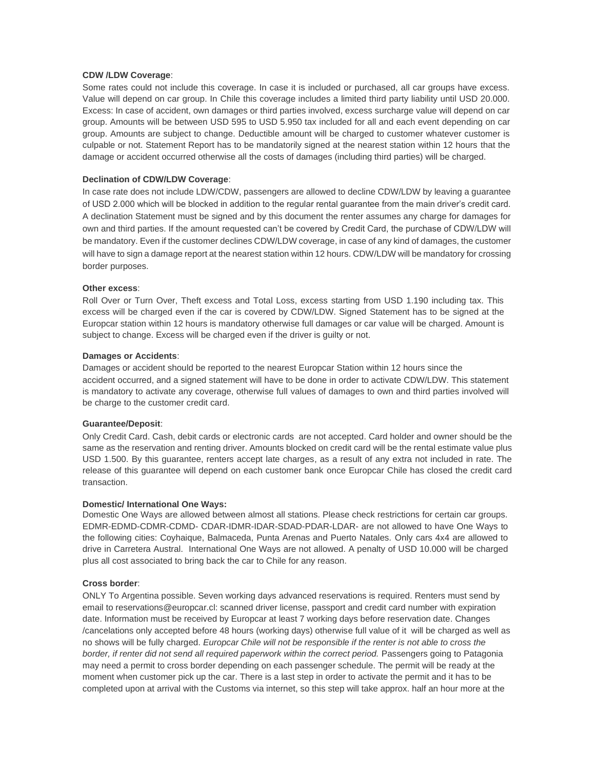# **CDW /LDW Coverage**:

Some rates could not include this coverage. In case it is included or purchased, all car groups have excess. Value will depend on car group. In Chile this coverage includes a limited third party liability until USD 20.000. Excess: In case of accident, own damages or third parties involved, excess surcharge value will depend on car group. Amounts will be between USD 595 to USD 5.950 tax included for all and each event depending on car group. Amounts are subject to change. Deductible amount will be charged to customer whatever customer is culpable or not. Statement Report has to be mandatorily signed at the nearest station within 12 hours that the damage or accident occurred otherwise all the costs of damages (including third parties) will be charged.

## **Declination of CDW/LDW Coverage**:

In case rate does not include LDW/CDW, passengers are allowed to decline CDW/LDW by leaving a guarantee of USD 2.000 which will be blocked in addition to the regular rental guarantee from the main driver's credit card. A declination Statement must be signed and by this document the renter assumes any charge for damages for own and third parties. If the amount requested can't be covered by Credit Card, the purchase of CDW/LDW will be mandatory. Even if the customer declines CDW/LDW coverage, in case of any kind of damages, the customer will have to sign a damage report at the nearest station within 12 hours. CDW/LDW will be mandatory for crossing border purposes.

# **Other excess**:

Roll Over or Turn Over, Theft excess and Total Loss, excess starting from USD 1.190 including tax. This excess will be charged even if the car is covered by CDW/LDW. Signed Statement has to be signed at the Europcar station within 12 hours is mandatory otherwise full damages or car value will be charged. Amount is subject to change. Excess will be charged even if the driver is guilty or not.

#### **Damages or Accidents**:

Damages or accident should be reported to the nearest Europcar Station within 12 hours since the accident occurred, and a signed statement will have to be done in order to activate CDW/LDW. This statement is mandatory to activate any coverage, otherwise full values of damages to own and third parties involved will be charge to the customer credit card.

#### **Guarantee/Deposit**:

Only Credit Card. Cash, debit cards or electronic cards are not accepted. Card holder and owner should be the same as the reservation and renting driver. Amounts blocked on credit card will be the rental estimate value plus USD 1.500. By this guarantee, renters accept late charges, as a result of any extra not included in rate. The release of this guarantee will depend on each customer bank once Europcar Chile has closed the credit card transaction.

## **Domestic/ International One Ways:**

Domestic One Ways are allowed between almost all stations. Please check restrictions for certain car groups. EDMR-EDMD-CDMR-CDMD- CDAR-IDMR-IDAR-SDAD-PDAR-LDAR- are not allowed to have One Ways to the following cities: Coyhaique, Balmaceda, Punta Arenas and Puerto Natales. Only cars 4x4 are allowed to drive in Carretera Austral. International One Ways are not allowed. A penalty of USD 10.000 will be charged plus all cost associated to bring back the car to Chile for any reason.

### **Cross border**:

ONLY To Argentina possible. Seven working days advanced reservations is required. Renters must send by email to reservations@europcar.cl: scanned driver license, passport and credit card number with expiration date. Information must be received by Europcar at least 7 working days before reservation date. Changes /cancelations only accepted before 48 hours (working days) otherwise full value of it will be charged as well as no shows will be fully charged. *Europcar Chile will not be responsible if the renter is not able to cross the border, if renter did not send all required paperwork within the correct period.* Passengers going to Patagonia may need a permit to cross border depending on each passenger schedule. The permit will be ready at the moment when customer pick up the car. There is a last step in order to activate the permit and it has to be completed upon at arrival with the Customs via internet, so this step will take approx. half an hour more at the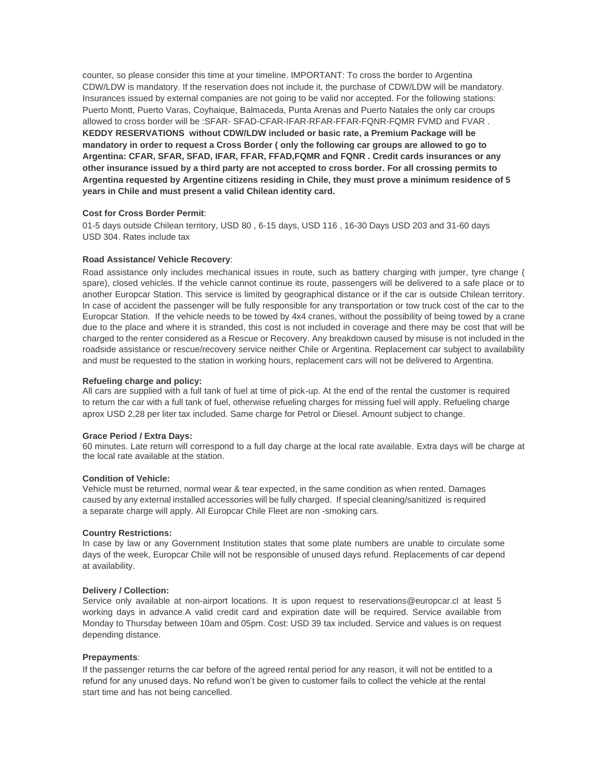counter, so please consider this time at your timeline. IMPORTANT: To cross the border to Argentina CDW/LDW is mandatory. If the reservation does not include it, the purchase of CDW/LDW will be mandatory. Insurances issued by external companies are not going to be valid nor accepted. For the following stations: Puerto Montt, Puerto Varas, Coyhaique, Balmaceda, Punta Arenas and Puerto Natales the only car croups allowed to cross border will be :SFAR- SFAD-CFAR-IFAR-RFAR-FFAR-FQNR-FQMR FVMD and FVAR . **KEDDY RESERVATIONS without CDW/LDW included or basic rate, a Premium Package will be mandatory in order to request a Cross Border ( only the following car groups are allowed to go to Argentina: CFAR, SFAR, SFAD, IFAR, FFAR, FFAD,FQMR and FQNR . Credit cards insurances or any other insurance issued by a third party are not accepted to cross border. For all crossing permits to Argentina requested by Argentine citizens residing in Chile, they must prove a minimum residence of 5 years in Chile and must present a valid Chilean identity card.**

## **Cost for Cross Border Permit**:

01-5 days outside Chilean territory, USD 80 , 6-15 days, USD 116 , 16-30 Days USD 203 and 31-60 days USD 304. Rates include tax

### **Road Assistance/ Vehicle Recovery**:

Road assistance only includes mechanical issues in route, such as battery charging with jumper, tyre change ( spare), closed vehicles. If the vehicle cannot continue its route, passengers will be delivered to a safe place or to another Europcar Station. This service is limited by geographical distance or if the car is outside Chilean territory. In case of accident the passenger will be fully responsible for any transportation or tow truck cost of the car to the Europcar Station. If the vehicle needs to be towed by 4x4 cranes, without the possibility of being towed by a crane due to the place and where it is stranded, this cost is not included in coverage and there may be cost that will be charged to the renter considered as a Rescue or Recovery. Any breakdown caused by misuse is not included in the roadside assistance or rescue/recovery service neither Chile or Argentina. Replacement car subject to availability and must be requested to the station in working hours, replacement cars will not be delivered to Argentina.

## **Refueling charge and policy:**

All cars are supplied with a full tank of fuel at time of pick-up. At the end of the rental the customer is required to return the car with a full tank of fuel, otherwise refueling charges for missing fuel will apply. Refueling charge aprox USD 2,28 per liter tax included. Same charge for Petrol or Diesel. Amount subject to change.

#### **Grace Period / Extra Days:**

60 minutes. Late return will correspond to a full day charge at the local rate available. Extra days will be charge at the local rate available at the station.

## **Condition of Vehicle:**

Vehicle must be returned, normal wear & tear expected, in the same condition as when rented. Damages caused by any external installed accessories will be fully charged. If special cleaning/sanitized is required a separate charge will apply. All Europcar Chile Fleet are non -smoking cars.

#### **Country Restrictions:**

In case by law or any Government Institution states that some plate numbers are unable to circulate some days of the week, Europcar Chile will not be responsible of unused days refund. Replacements of car depend at availability.

#### **Delivery / Collection:**

Service only available at non-airport locations. It is upon request to reservations@europcar.cl at least 5 working days in advance.A valid credit card and expiration date will be required. Service available from Monday to Thursday between 10am and 05pm. Cost: USD 39 tax included. Service and values is on request depending distance.

## **Prepayments**:

If the passenger returns the car before of the agreed rental period for any reason, it will not be entitled to a refund for any unused days. No refund won't be given to customer fails to collect the vehicle at the rental start time and has not being cancelled.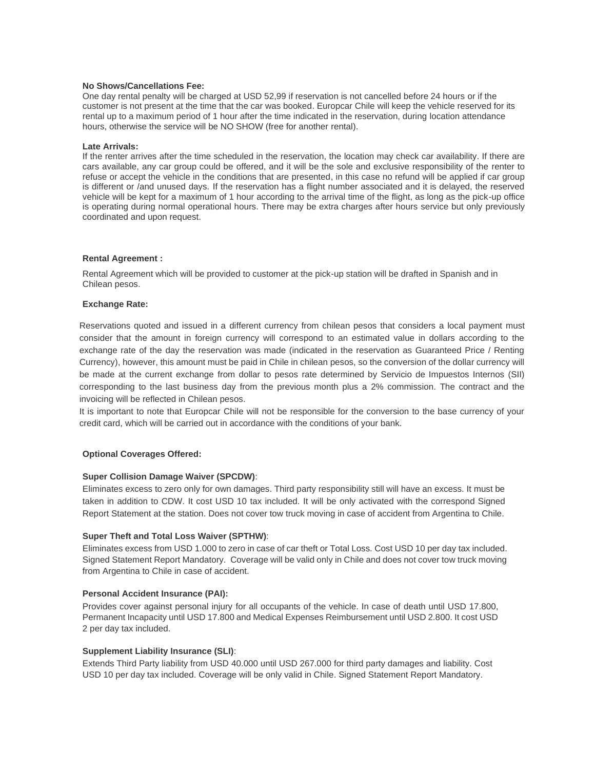### **No Shows/Cancellations Fee:**

One day rental penalty will be charged at USD 52,99 if reservation is not cancelled before 24 hours or if the customer is not present at the time that the car was booked. Europcar Chile will keep the vehicle reserved for its rental up to a maximum period of 1 hour after the time indicated in the reservation, during location attendance hours, otherwise the service will be NO SHOW (free for another rental).

### **Late Arrivals:**

If the renter arrives after the time scheduled in the reservation, the location may check car availability. If there are cars available, any car group could be offered, and it will be the sole and exclusive responsibility of the renter to refuse or accept the vehicle in the conditions that are presented, in this case no refund will be applied if car group is different or /and unused days. If the reservation has a flight number associated and it is delayed, the reserved vehicle will be kept for a maximum of 1 hour according to the arrival time of the flight, as long as the pick-up office is operating during normal operational hours. There may be extra charges after hours service but only previously coordinated and upon request.

### **Rental Agreement :**

Rental Agreement which will be provided to customer at the pick-up station will be drafted in Spanish and in Chilean pesos.

### **Exchange Rate:**

Reservations quoted and issued in a different currency from chilean pesos that considers a local payment must consider that the amount in foreign currency will correspond to an estimated value in dollars according to the exchange rate of the day the reservation was made (indicated in the reservation as Guaranteed Price / Renting Currency), however, this amount must be paid in Chile in chilean pesos, so the conversion of the dollar currency will be made at the current exchange from dollar to pesos rate determined by Servicio de Impuestos Internos (SII) corresponding to the last business day from the previous month plus a 2% commission. The contract and the invoicing will be reflected in Chilean pesos.

It is important to note that Europcar Chile will not be responsible for the conversion to the base currency of your credit card, which will be carried out in accordance with the conditions of your bank.

## **Optional Coverages Offered:**

## **Super Collision Damage Waiver (SPCDW)**:

Eliminates excess to zero only for own damages. Third party responsibility still will have an excess. It must be taken in addition to CDW. It cost USD 10 tax included. It will be only activated with the correspond Signed Report Statement at the station. Does not cover tow truck moving in case of accident from Argentina to Chile.

## **Super Theft and Total Loss Waiver (SPTHW)**:

Eliminates excess from USD 1.000 to zero in case of car theft or Total Loss. Cost USD 10 per day tax included. Signed Statement Report Mandatory. Coverage will be valid only in Chile and does not cover tow truck moving from Argentina to Chile in case of accident.

## **Personal Accident Insurance (PAI):**

Provides cover against personal injury for all occupants of the vehicle. In case of death until USD 17.800, Permanent Incapacity until USD 17.800 and Medical Expenses Reimbursement until USD 2.800. It cost USD 2 per day tax included.

## **Supplement Liability Insurance (SLI)**:

Extends Third Party liability from USD 40.000 until USD 267.000 for third party damages and liability. Cost USD 10 per day tax included. Coverage will be only valid in Chile. Signed Statement Report Mandatory.